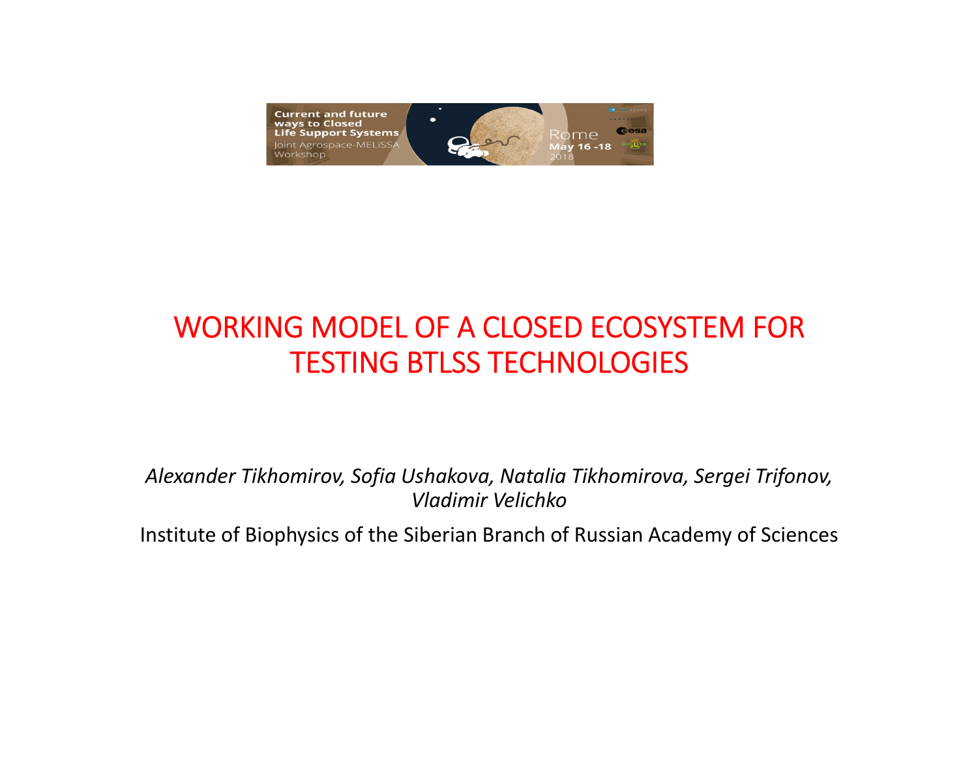

## WORKING MODEL OF A CLOSED ECOSYSTEM FOR TESTING BTLSS TECHNOLOGIES

*Alexander Tikhomirov, Sofia Ushakova, Natalia Tikhomirova, Sergei Trifonov, Vladimir Velichko*

Institute of Biophysics of the Siberian Branch of Russian Academy of Sciences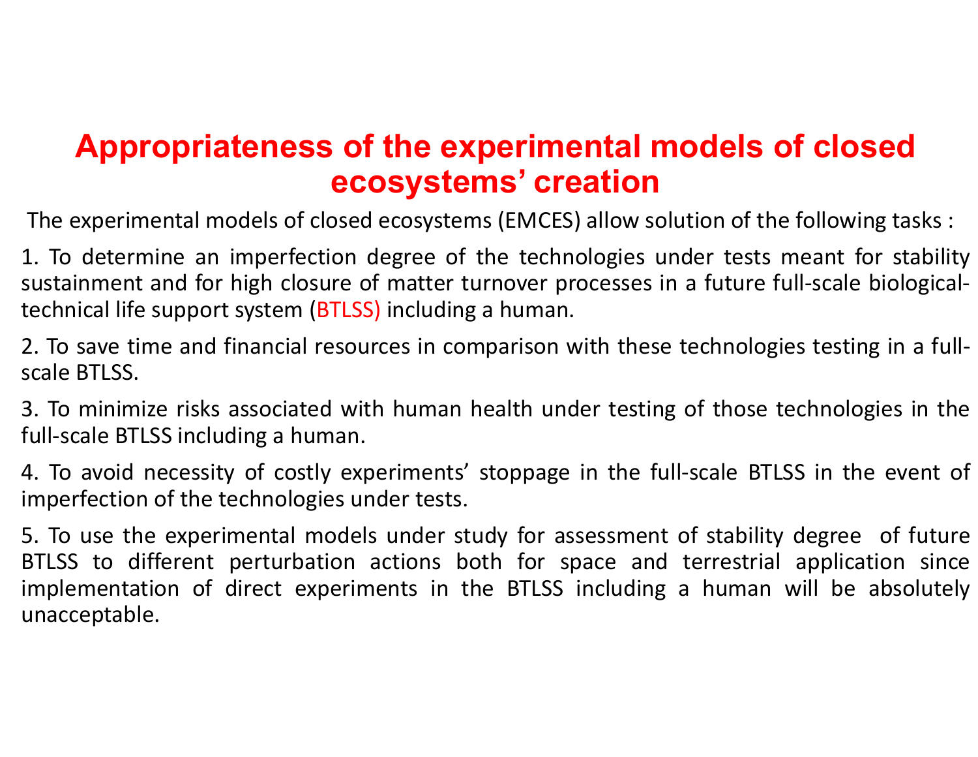## **Appropriateness of the experimental models of closed ecosystems' creation**

The experimental models of closed ecosystems (EMCES) allow solution of the following tasks :

1. To determine an imperfection degree of the technologies under tests meant for stability sustainment and for high closure of matter turnover processes in a future full-scale biologicaltechnical life support system (BTLSS) including <sup>a</sup> human.

2. To save time and financial resources in comparison with these technologies testing in <sup>a</sup> full‐ scale BTLSS.

3. To minimize risks associated with human health under testing of those technologies in the full‐scale BTLSS including <sup>a</sup> human.

4. To avoid necessity of costly experiments' stoppage in the full‐scale BTLSS in the event of imperfection of the technologies under tests.

5. To use the experimental models under study for assessment of stability degree of future BTLSS to different perturbation actions both for space and terrestrial application since implementation of direct experiments in the BTLSS including <sup>a</sup> human will be absolutely unacceptable.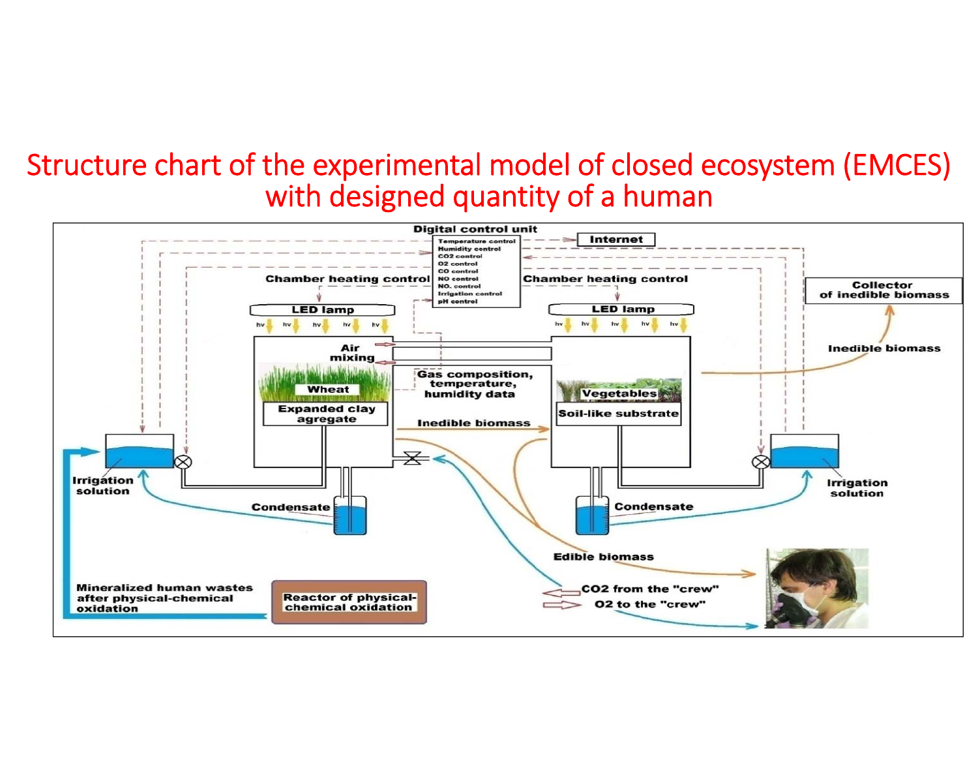#### Structure chart of the experimental model of closed ecosystem (EMCES) with designed quantity of a human

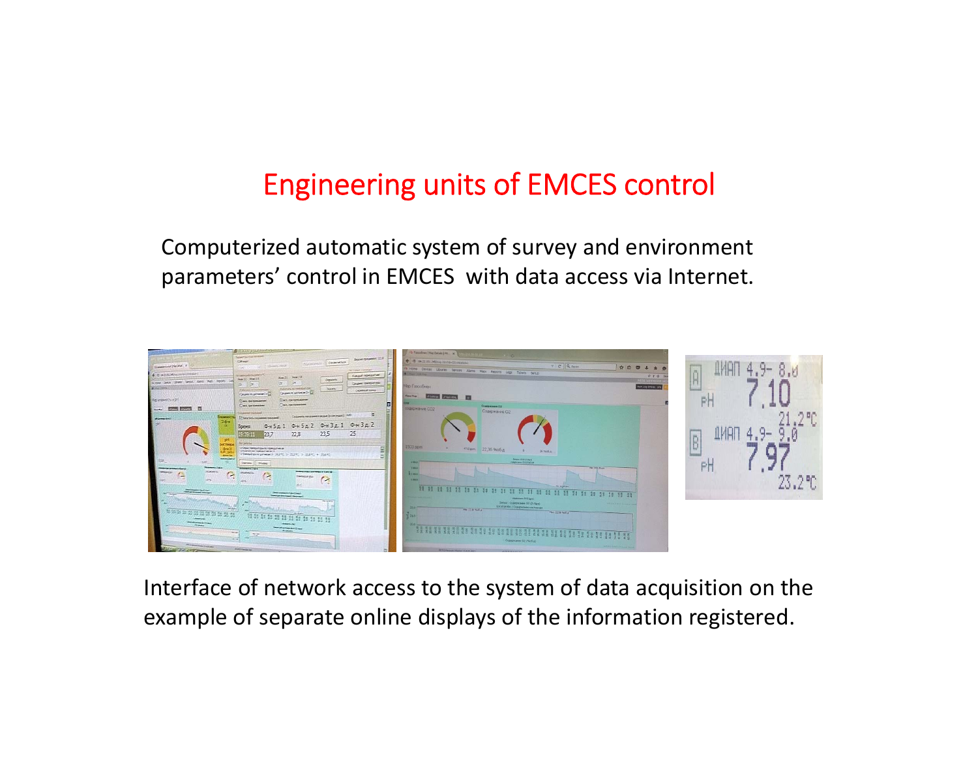## Engineering units of EMCES control

Computerized automatic system of survey and environment parameters' control in EMCES with data access via Internet.



Interface of network access to the system of data acquisition on the example of separate online displays of the information registered.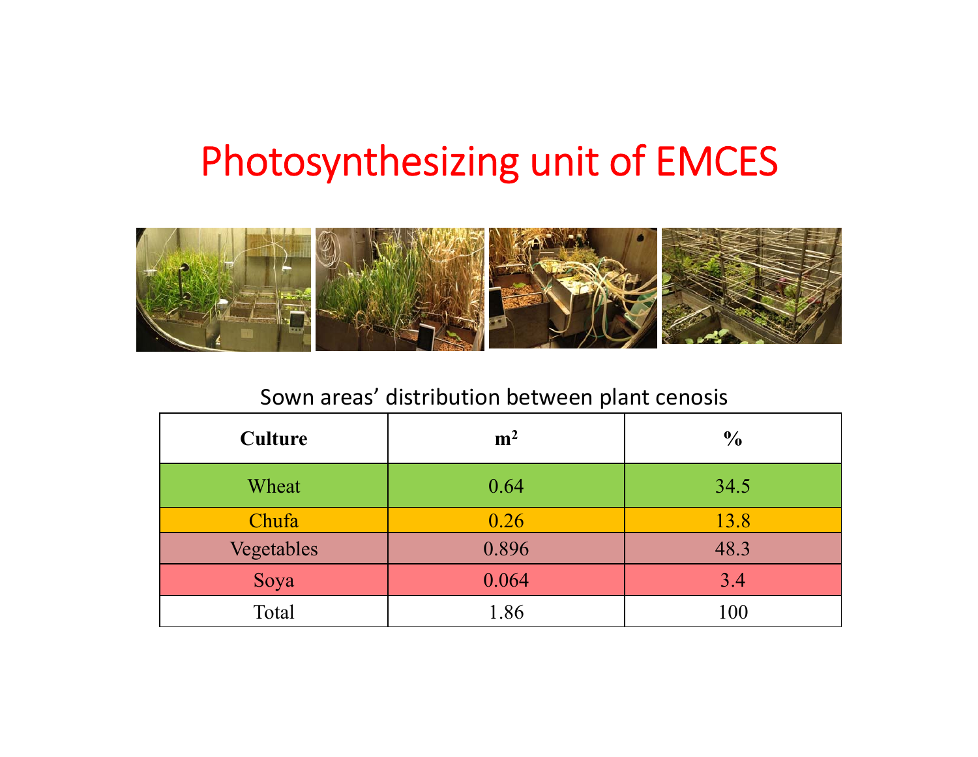# Photosynthesizing unit of EMCES



#### Sown areas' distribution between plant cenosis

| <b>Culture</b> | m <sup>2</sup> | $\frac{6}{6}$ |
|----------------|----------------|---------------|
| Wheat          | 0.64           | 34.5          |
| Chufa          | 0.26           | 13.8          |
| Vegetables     | 0.896          | 48.3          |
| Soya           | 0.064          | 3.4           |
| Total          | 1.86           | 100           |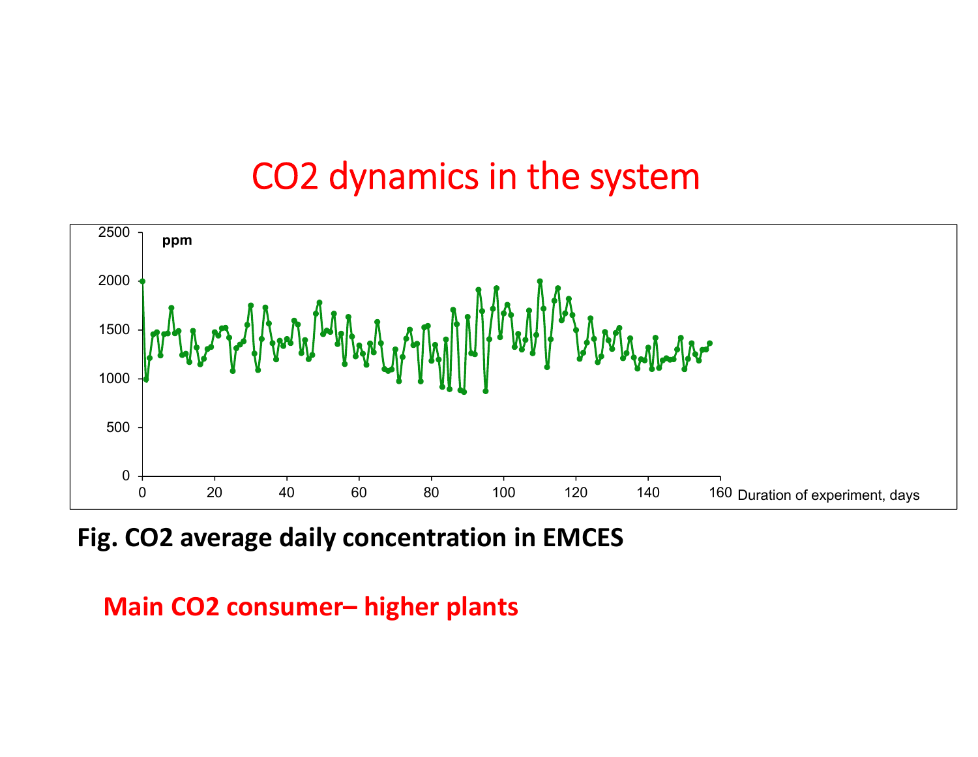## СО2 dynamics in the system



**Fig. CO2 average daily concentration in EMCES**

**Main СО2 consumer– higher plants**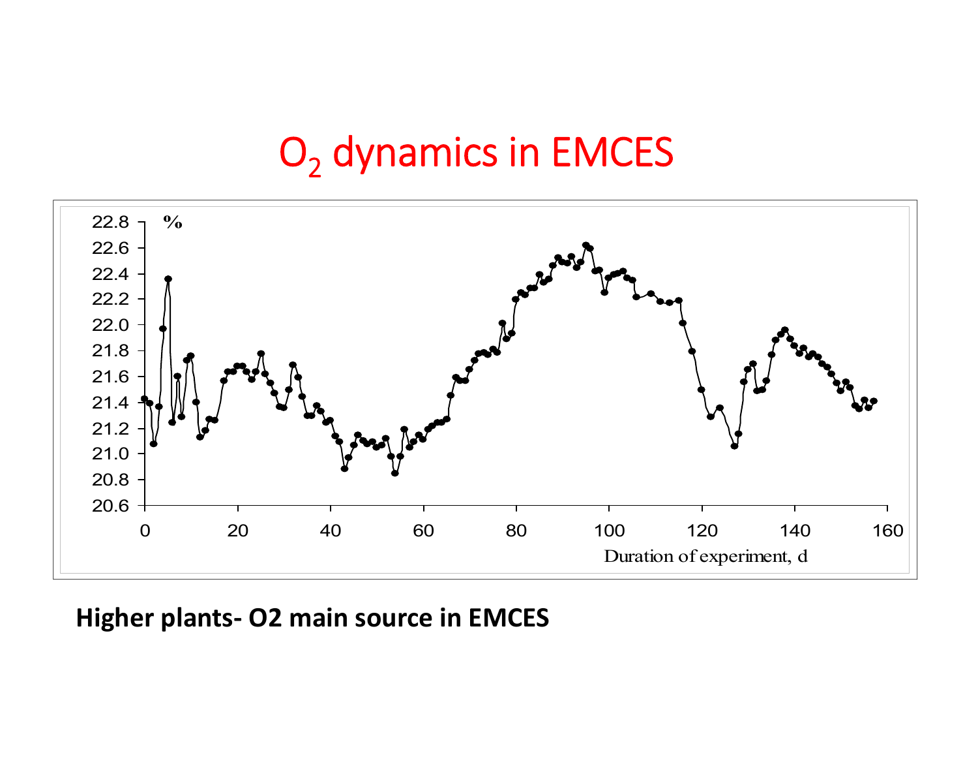# $\mathsf{O}_2$  dynamics in EMCES



**Higher plants‐ О2 main source in EMCES**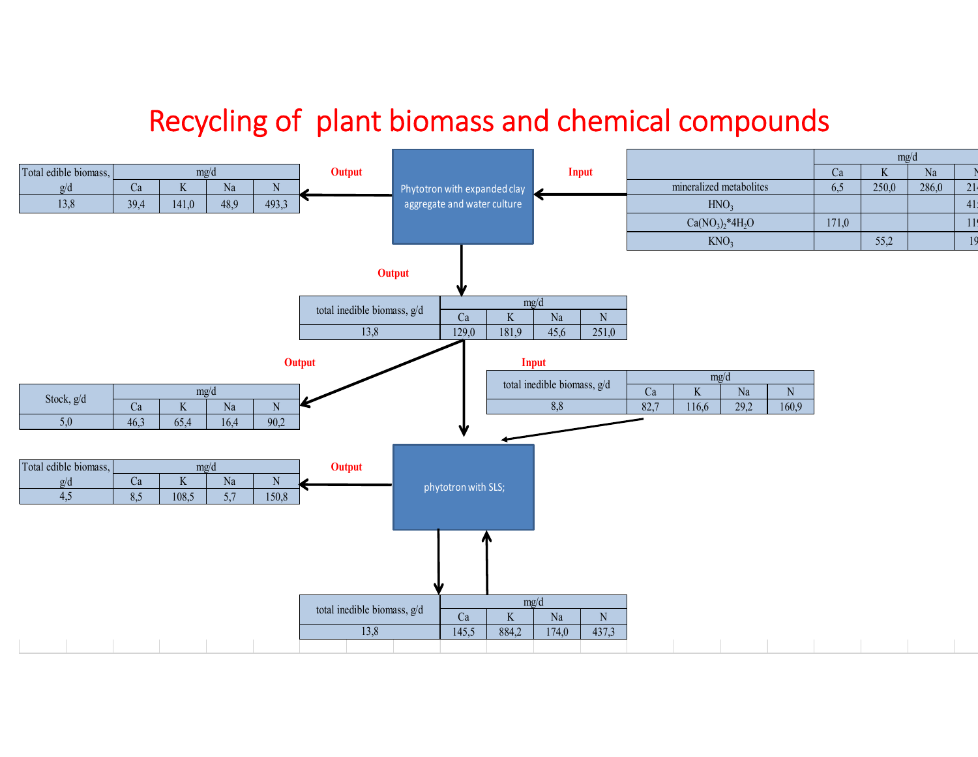### Recycling of plant biomass and chemical compounds

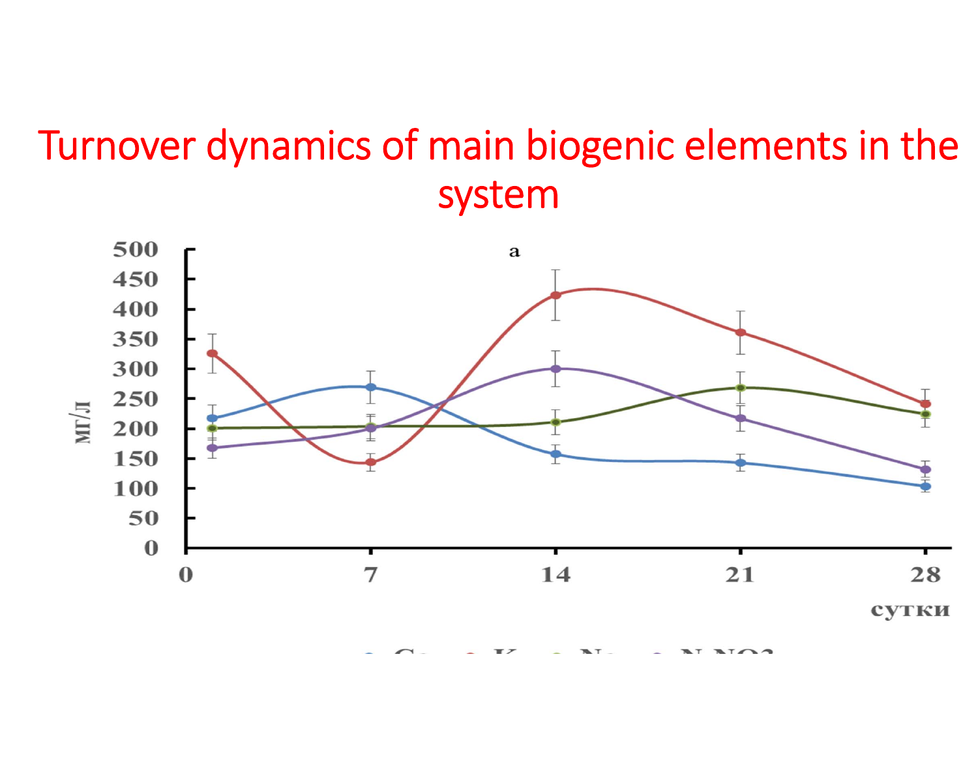# Turnover dynamics of main biogenic elements in the system

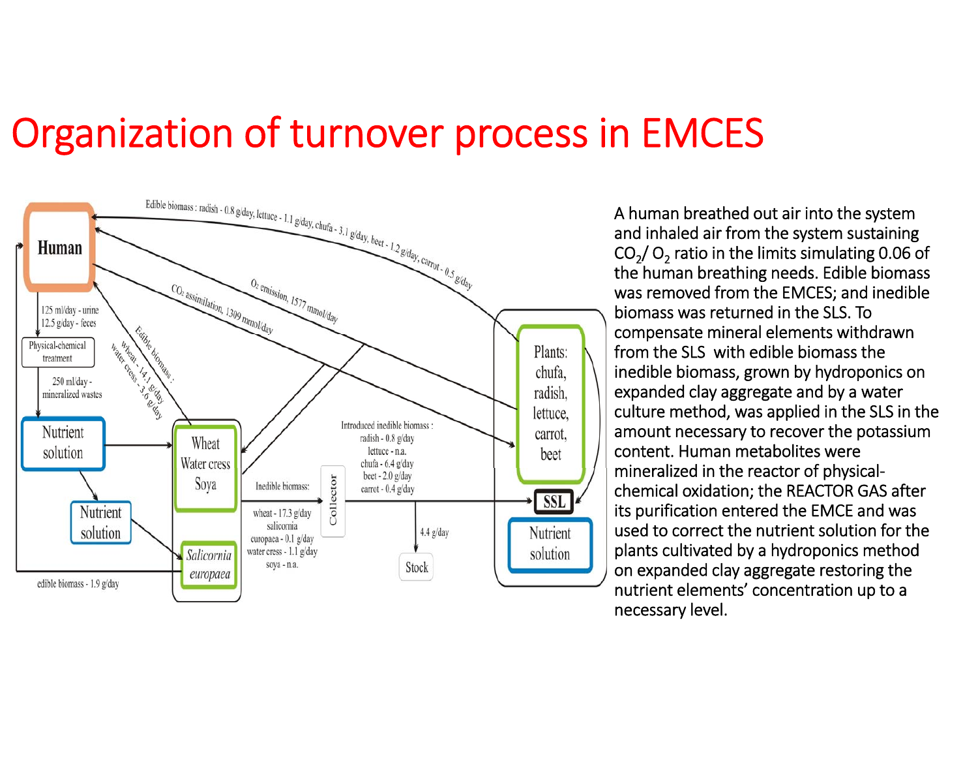# Organization of turnover process in EMCES



A human breathed out air into the system and inhaled air from the system sustaining CO<sub>2</sub>/ O<sub>2</sub> ratio in the limits simulating 0.06 of the human breathing needs. Edible biomass was removed from the EMCES; and inedible biomass was returned in the SLS. To compensate mineral elements withdrawn from the SLS with edible biomass the inedible biomass, grown by hydroponics on expanded clay aggregate and by a water culture method, was applied in the SLS in the amount necessary to recover the potassium content. Human metabolites were mineralized in the reactor of physical‐ chemical oxidation; the REACTOR GAS after its purification entered the EMCE and was used to correct the nutrient solution for the plants cultivated by a hydroponics method on expanded clay aggregate restoring the nutrient elements' concentration up to a necessary level.